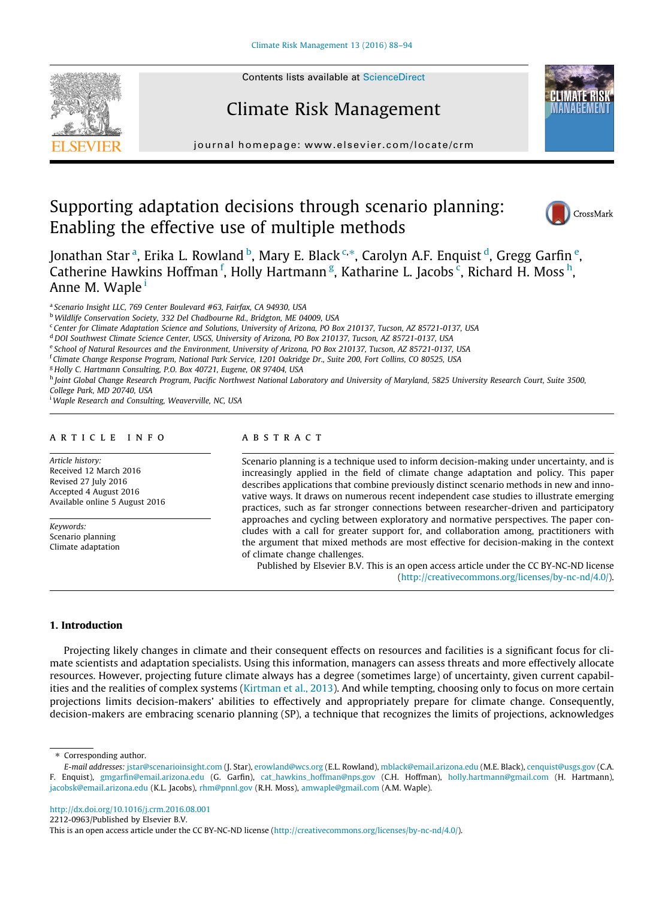

# Climate Risk Management



journal homepage: [www.elsevier.com/locate/crm](http://www.elsevier.com/locate/crm)

# Supporting adaptation decisions through scenario planning: Enabling the effective use of multiple methods



Jonathan Star <sup>a</sup>, Erika L. Rowland <sup>b</sup>, Mary E. Black <sup>c,</sup>\*, Carolyn A.F. Enquist <sup>d</sup>, Gregg Garfin <sup>e</sup>, Catherine Hawkins Hoffman <sup>f</sup>, Holly Hartmann <sup>g</sup>, Katharine L. Jacobs <sup>c</sup>, Richard H. Moss <sup>h</sup>, Anne M. Waple<sup>1</sup>

<sup>a</sup> Scenario Insight LLC, 769 Center Boulevard #63, Fairfax, CA 94930, USA

<sup>b</sup> Wildlife Conservation Society, 332 Del Chadbourne Rd., Bridgton, ME 04009, USA

<sup>c</sup> Center for Climate Adaptation Science and Solutions, University of Arizona, PO Box 210137, Tucson, AZ 85721-0137, USA

<sup>d</sup> DOI Southwest Climate Science Center, USGS, University of Arizona, PO Box 210137, Tucson, AZ 85721-0137, USA

e School of Natural Resources and the Environment, University of Arizona, PO Box 210137, Tucson, AZ 85721-0137, USA

f Climate Change Response Program, National Park Service, 1201 Oakridge Dr., Suite 200, Fort Collins, CO 80525, USA

<sup>g</sup> Holly C. Hartmann Consulting, P.O. Box 40721, Eugene, OR 97404, USA

h Joint Global Change Research Program, Pacific Northwest National Laboratory and University of Maryland, 5825 University Research Court, Suite 3500,

College Park, MD 20740, USA

<sup>i</sup> Waple Research and Consulting, Weaverville, NC, USA

## article info

Article history: Received 12 March 2016 Revised 27 July 2016 Accepted 4 August 2016 Available online 5 August 2016

Keywords: Scenario planning Climate adaptation

# **ABSTRACT**

Scenario planning is a technique used to inform decision-making under uncertainty, and is increasingly applied in the field of climate change adaptation and policy. This paper describes applications that combine previously distinct scenario methods in new and innovative ways. It draws on numerous recent independent case studies to illustrate emerging practices, such as far stronger connections between researcher-driven and participatory approaches and cycling between exploratory and normative perspectives. The paper concludes with a call for greater support for, and collaboration among, practitioners with the argument that mixed methods are most effective for decision-making in the context of climate change challenges.

Published by Elsevier B.V. This is an open access article under the CC BY-NC-ND license (<http://creativecommons.org/licenses/by-nc-nd/4.0/>).

## 1. Introduction

Projecting likely changes in climate and their consequent effects on resources and facilities is a significant focus for climate scientists and adaptation specialists. Using this information, managers can assess threats and more effectively allocate resources. However, projecting future climate always has a degree (sometimes large) of uncertainty, given current capabilities and the realities of complex systems [\(Kirtman et al., 2013](#page-5-0)). And while tempting, choosing only to focus on more certain projections limits decision-makers' abilities to effectively and appropriately prepare for climate change. Consequently, decision-makers are embracing scenario planning (SP), a technique that recognizes the limits of projections, acknowledges

⇑ Corresponding author.

<http://dx.doi.org/10.1016/j.crm.2016.08.001>

2212-0963/Published by Elsevier B.V.

This is an open access article under the CC BY-NC-ND license [\(http://creativecommons.org/licenses/by-nc-nd/4.0/](http://creativecommons.org/licenses/by-nc-nd/4.0/)).

E-mail addresses: [jstar@scenarioinsight.com](mailto:jstar@scenarioinsight.com) (J. Star), [erowland@wcs.org](mailto:erowland@wcs.org) (E.L. Rowland), [mblack@email.arizona.edu](mailto:mblack@email.arizona.edu) (M.E. Black), [cenquist@usgs.gov](mailto:cenquist@usgs.gov) (C.A. F. Enquist), [gmgarfin@email.arizona.edu](mailto:gmgarfin@email.arizona.edu) (G. Garfin), [cat\\_hawkins\\_hoffman@nps.gov](mailto:cat_hawkins_hoffman@nps.gov) (C.H. Hoffman), [holly.hartmann@gmail.com](mailto:holly.hartmann@gmail.com) (H. Hartmann), [jacobsk@email.arizona.edu](mailto:jacobsk@email.arizona.edu) (K.L. Jacobs), [rhm@pnnl.gov](mailto:rhm@pnnl.gov) (R.H. Moss), [amwaple@gmail.com](mailto:amwaple@gmail.com) (A.M. Waple).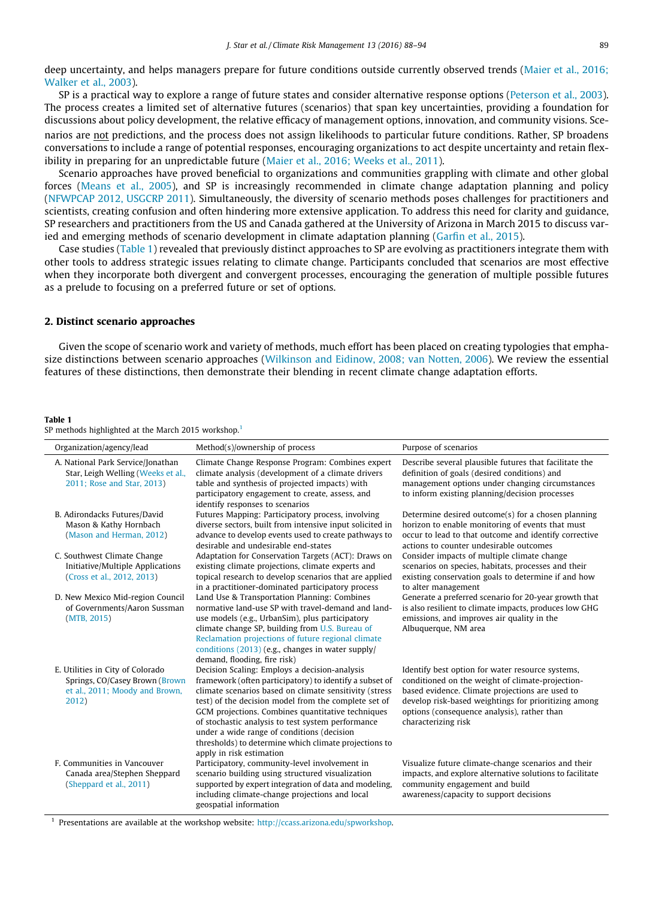<span id="page-1-0"></span>deep uncertainty, and helps managers prepare for future conditions outside currently observed trends [\(Maier et al., 2016;](#page-5-0) [Walker et al., 2003\)](#page-5-0).

SP is a practical way to explore a range of future states and consider alternative response options ([Peterson et al., 2003](#page-5-0)). The process creates a limited set of alternative futures (scenarios) that span key uncertainties, providing a foundation for discussions about policy development, the relative efficacy of management options, innovation, and community visions. Scenarios are not predictions, and the process does not assign likelihoods to particular future conditions. Rather, SP broadens conversations to include a range of potential responses, encouraging organizations to act despite uncertainty and retain flexibility in preparing for an unpredictable future [\(Maier et al., 2016; Weeks et al., 2011](#page-5-0)).

Scenario approaches have proved beneficial to organizations and communities grappling with climate and other global forces ([Means et al., 2005](#page-5-0)), and SP is increasingly recommended in climate change adaptation planning and policy ([NFWPCAP 2012, USGCRP 2011\)](#page-5-0). Simultaneously, the diversity of scenario methods poses challenges for practitioners and scientists, creating confusion and often hindering more extensive application. To address this need for clarity and guidance, SP researchers and practitioners from the US and Canada gathered at the University of Arizona in March 2015 to discuss varied and emerging methods of scenario development in climate adaptation planning ([Garfin et al., 2015\)](#page-5-0).

Case studies (Table 1) revealed that previously distinct approaches to SP are evolving as practitioners integrate them with other tools to address strategic issues relating to climate change. Participants concluded that scenarios are most effective when they incorporate both divergent and convergent processes, encouraging the generation of multiple possible futures as a prelude to focusing on a preferred future or set of options.

#### 2. Distinct scenario approaches

Given the scope of scenario work and variety of methods, much effort has been placed on creating typologies that emphasize distinctions between scenario approaches [\(Wilkinson and Eidinow, 2008; van Notten, 2006](#page-6-0)). We review the essential features of these distinctions, then demonstrate their blending in recent climate change adaptation efforts.

#### Table 1

| SP methods highlighted at the March 2015 workshop. <sup>1</sup> |
|-----------------------------------------------------------------|
|-----------------------------------------------------------------|

| Organization/agency/lead                                                                                      | Method(s)/ownership of process                                                                                                                                                                                                                                                                                                                                                                                                                                          | Purpose of scenarios                                                                                                                                                                                                                                                                  |
|---------------------------------------------------------------------------------------------------------------|-------------------------------------------------------------------------------------------------------------------------------------------------------------------------------------------------------------------------------------------------------------------------------------------------------------------------------------------------------------------------------------------------------------------------------------------------------------------------|---------------------------------------------------------------------------------------------------------------------------------------------------------------------------------------------------------------------------------------------------------------------------------------|
| A. National Park Service/Jonathan<br>Star, Leigh Welling (Weeks et al.,<br>2011; Rose and Star, 2013)         | Climate Change Response Program: Combines expert<br>climate analysis (development of a climate drivers<br>table and synthesis of projected impacts) with<br>participatory engagement to create, assess, and<br>identify responses to scenarios                                                                                                                                                                                                                          | Describe several plausible futures that facilitate the<br>definition of goals (desired conditions) and<br>management options under changing circumstances<br>to inform existing planning/decision processes                                                                           |
| B. Adirondacks Futures/David<br>Mason & Kathy Hornbach<br>(Mason and Herman, 2012)                            | Futures Mapping: Participatory process, involving<br>diverse sectors, built from intensive input solicited in<br>advance to develop events used to create pathways to<br>desirable and undesirable end-states                                                                                                                                                                                                                                                           | Determine desired outcome(s) for a chosen planning<br>horizon to enable monitoring of events that must<br>occur to lead to that outcome and identify corrective<br>actions to counter undesirable outcomes                                                                            |
| C. Southwest Climate Change<br>Initiative/Multiple Applications<br>(Cross et al., 2012, 2013)                 | Adaptation for Conservation Targets (ACT): Draws on<br>existing climate projections, climate experts and<br>topical research to develop scenarios that are applied<br>in a practitioner-dominated participatory process                                                                                                                                                                                                                                                 | Consider impacts of multiple climate change<br>scenarios on species, habitats, processes and their<br>existing conservation goals to determine if and how<br>to alter management                                                                                                      |
| D. New Mexico Mid-region Council<br>of Governments/Aaron Sussman<br>(MTB, 2015)                               | Land Use & Transportation Planning: Combines<br>normative land-use SP with travel-demand and land-<br>use models (e.g., UrbanSim), plus participatory<br>climate change SP, building from U.S. Bureau of<br>Reclamation projections of future regional climate<br>conditions (2013) (e.g., changes in water supply/<br>demand, flooding, fire risk)                                                                                                                     | Generate a preferred scenario for 20-year growth that<br>is also resilient to climate impacts, produces low GHG<br>emissions, and improves air quality in the<br>Albuquerque, NM area                                                                                                 |
| E. Utilities in City of Colorado<br>Springs, CO/Casey Brown (Brown<br>et al., 2011; Moody and Brown,<br>2012) | Decision Scaling: Employs a decision-analysis<br>framework (often participatory) to identify a subset of<br>climate scenarios based on climate sensitivity (stress<br>test) of the decision model from the complete set of<br>GCM projections. Combines quantitative techniques<br>of stochastic analysis to test system performance<br>under a wide range of conditions (decision<br>thresholds) to determine which climate projections to<br>apply in risk estimation | Identify best option for water resource systems,<br>conditioned on the weight of climate-projection-<br>based evidence. Climate projections are used to<br>develop risk-based weightings for prioritizing among<br>options (consequence analysis), rather than<br>characterizing risk |
| F. Communities in Vancouver<br>Canada area/Stephen Sheppard<br>(Sheppard et al., 2011)                        | Participatory, community-level involvement in<br>scenario building using structured visualization<br>supported by expert integration of data and modeling,<br>including climate-change projections and local<br>geospatial information                                                                                                                                                                                                                                  | Visualize future climate-change scenarios and their<br>impacts, and explore alternative solutions to facilitate<br>community engagement and build<br>awareness/capacity to support decisions                                                                                          |

<sup>1</sup> Presentations are available at the workshop website: [http://ccass.arizona.edu/spworkshop.](http://ccass.arizona.edu/spworkshop)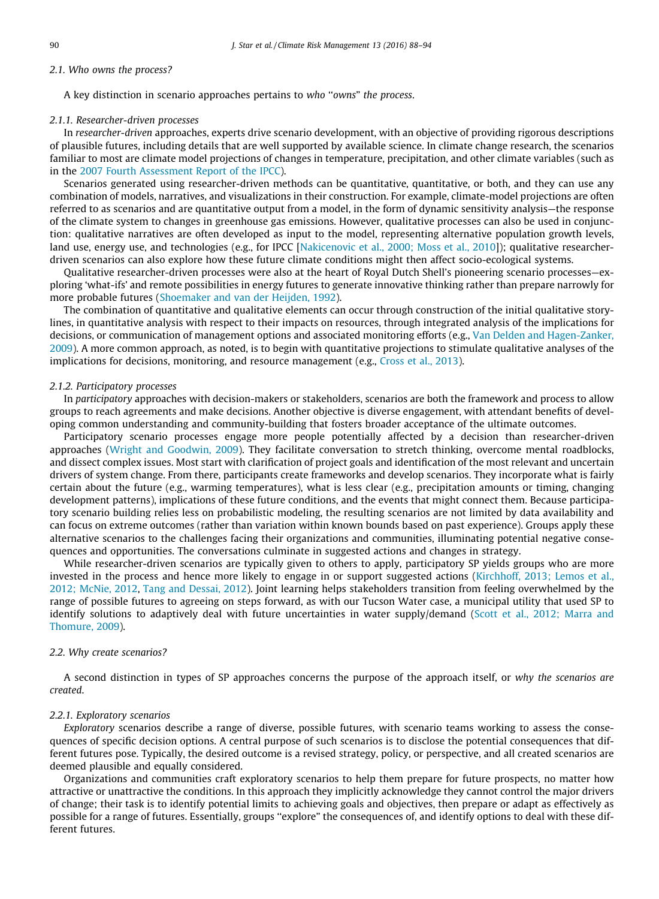# 2.1. Who owns the process?

A key distinction in scenario approaches pertains to who ''owns" the process.

## 2.1.1. Researcher-driven processes

In researcher-driven approaches, experts drive scenario development, with an objective of providing rigorous descriptions of plausible futures, including details that are well supported by available science. In climate change research, the scenarios familiar to most are climate model projections of changes in temperature, precipitation, and other climate variables (such as in the [2007 Fourth Assessment Report of the IPCC\)](#page-5-0).

Scenarios generated using researcher-driven methods can be quantitative, quantitative, or both, and they can use any combination of models, narratives, and visualizations in their construction. For example, climate-model projections are often referred to as scenarios and are quantitative output from a model, in the form of dynamic sensitivity analysis—the response of the climate system to changes in greenhouse gas emissions. However, qualitative processes can also be used in conjunction: qualitative narratives are often developed as input to the model, representing alternative population growth levels, land use, energy use, and technologies (e.g., for IPCC [\[Nakicenovic et al., 2000; Moss et al., 2010\]](#page-5-0)); qualitative researcherdriven scenarios can also explore how these future climate conditions might then affect socio-ecological systems.

Qualitative researcher-driven processes were also at the heart of Royal Dutch Shell's pioneering scenario processes—exploring 'what-ifs' and remote possibilities in energy futures to generate innovative thinking rather than prepare narrowly for more probable futures [\(Shoemaker and van der Heijden, 1992\)](#page-6-0).

The combination of quantitative and qualitative elements can occur through construction of the initial qualitative storylines, in quantitative analysis with respect to their impacts on resources, through integrated analysis of the implications for decisions, or communication of management options and associated monitoring efforts (e.g., [Van Delden and Hagen-Zanker,](#page-6-0) [2009](#page-6-0)). A more common approach, as noted, is to begin with quantitative projections to stimulate qualitative analyses of the implications for decisions, monitoring, and resource management (e.g., [Cross et al., 2013\)](#page-5-0).

#### 2.1.2. Participatory processes

In participatory approaches with decision-makers or stakeholders, scenarios are both the framework and process to allow groups to reach agreements and make decisions. Another objective is diverse engagement, with attendant benefits of developing common understanding and community-building that fosters broader acceptance of the ultimate outcomes.

Participatory scenario processes engage more people potentially affected by a decision than researcher-driven approaches ([Wright and Goodwin, 2009](#page-6-0)). They facilitate conversation to stretch thinking, overcome mental roadblocks, and dissect complex issues. Most start with clarification of project goals and identification of the most relevant and uncertain drivers of system change. From there, participants create frameworks and develop scenarios. They incorporate what is fairly certain about the future (e.g., warming temperatures), what is less clear (e.g., precipitation amounts or timing, changing development patterns), implications of these future conditions, and the events that might connect them. Because participatory scenario building relies less on probabilistic modeling, the resulting scenarios are not limited by data availability and can focus on extreme outcomes (rather than variation within known bounds based on past experience). Groups apply these alternative scenarios to the challenges facing their organizations and communities, illuminating potential negative consequences and opportunities. The conversations culminate in suggested actions and changes in strategy.

While researcher-driven scenarios are typically given to others to apply, participatory SP yields groups who are more invested in the process and hence more likely to engage in or support suggested actions ([Kirchhoff, 2013; Lemos et al.,](#page-5-0) [2012; McNie, 2012,](#page-5-0) [Tang and Dessai, 2012](#page-6-0)). Joint learning helps stakeholders transition from feeling overwhelmed by the range of possible futures to agreeing on steps forward, as with our Tucson Water case, a municipal utility that used SP to identify solutions to adaptively deal with future uncertainties in water supply/demand [\(Scott et al., 2012; Marra and](#page-6-0) [Thomure, 2009\)](#page-6-0).

## 2.2. Why create scenarios?

A second distinction in types of SP approaches concerns the purpose of the approach itself, or why the scenarios are created.

#### 2.2.1. Exploratory scenarios

Exploratory scenarios describe a range of diverse, possible futures, with scenario teams working to assess the consequences of specific decision options. A central purpose of such scenarios is to disclose the potential consequences that different futures pose. Typically, the desired outcome is a revised strategy, policy, or perspective, and all created scenarios are deemed plausible and equally considered.

Organizations and communities craft exploratory scenarios to help them prepare for future prospects, no matter how attractive or unattractive the conditions. In this approach they implicitly acknowledge they cannot control the major drivers of change; their task is to identify potential limits to achieving goals and objectives, then prepare or adapt as effectively as possible for a range of futures. Essentially, groups ''explore" the consequences of, and identify options to deal with these different futures.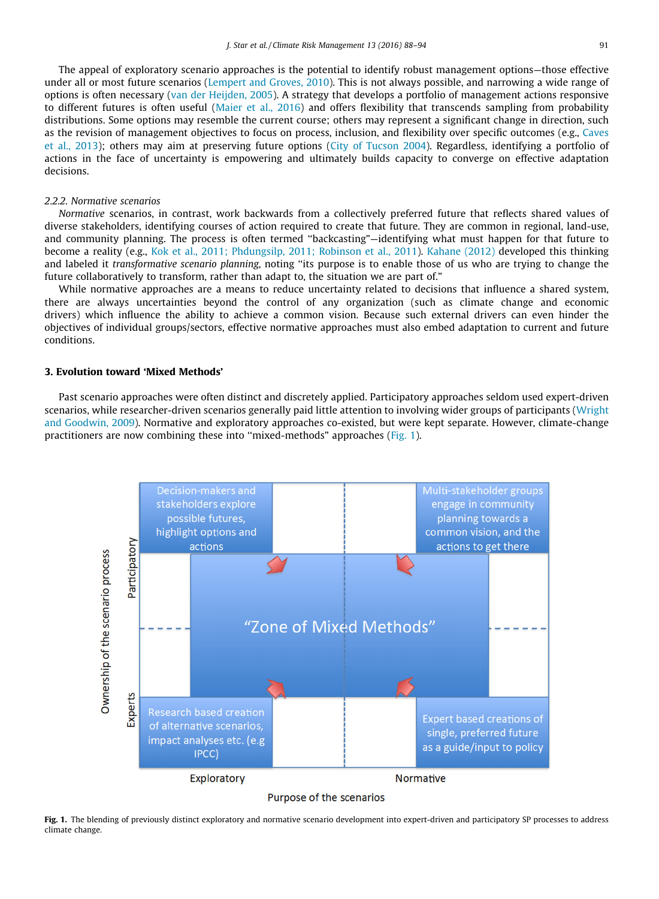The appeal of exploratory scenario approaches is the potential to identify robust management options—those effective under all or most future scenarios [\(Lempert and Groves, 2010](#page-5-0)). This is not always possible, and narrowing a wide range of options is often necessary [\(van der Heijden, 2005\)](#page-6-0). A strategy that develops a portfolio of management actions responsive to different futures is often useful [\(Maier et al., 2016](#page-5-0)) and offers flexibility that transcends sampling from probability distributions. Some options may resemble the current course; others may represent a significant change in direction, such as the revision of management objectives to focus on process, inclusion, and flexibility over specific outcomes (e.g., [Caves](#page-5-0) [et al., 2013](#page-5-0)); others may aim at preserving future options [\(City of Tucson 2004](#page-5-0)). Regardless, identifying a portfolio of actions in the face of uncertainty is empowering and ultimately builds capacity to converge on effective adaptation decisions.

#### 2.2.2. Normative scenarios

Normative scenarios, in contrast, work backwards from a collectively preferred future that reflects shared values of diverse stakeholders, identifying courses of action required to create that future. They are common in regional, land-use, and community planning. The process is often termed ''backcasting"—identifying what must happen for that future to become a reality (e.g., [Kok et al., 2011; Phdungsilp, 2011; Robinson et al., 2011\)](#page-5-0). [Kahane \(2012\)](#page-5-0) developed this thinking and labeled it transformative scenario planning, noting ''its purpose is to enable those of us who are trying to change the future collaboratively to transform, rather than adapt to, the situation we are part of."

While normative approaches are a means to reduce uncertainty related to decisions that influence a shared system, there are always uncertainties beyond the control of any organization (such as climate change and economic drivers) which influence the ability to achieve a common vision. Because such external drivers can even hinder the objectives of individual groups/sectors, effective normative approaches must also embed adaptation to current and future conditions.

# 3. Evolution toward 'Mixed Methods'

Past scenario approaches were often distinct and discretely applied. Participatory approaches seldom used expert-driven scenarios, while researcher-driven scenarios generally paid little attention to involving wider groups of participants [\(Wright](#page-6-0) [and Goodwin, 2009](#page-6-0)). Normative and exploratory approaches co-existed, but were kept separate. However, climate-change practitioners are now combining these into ''mixed-methods" approaches (Fig. 1).



Fig. 1. The blending of previously distinct exploratory and normative scenario development into expert-driven and participatory SP processes to address climate change.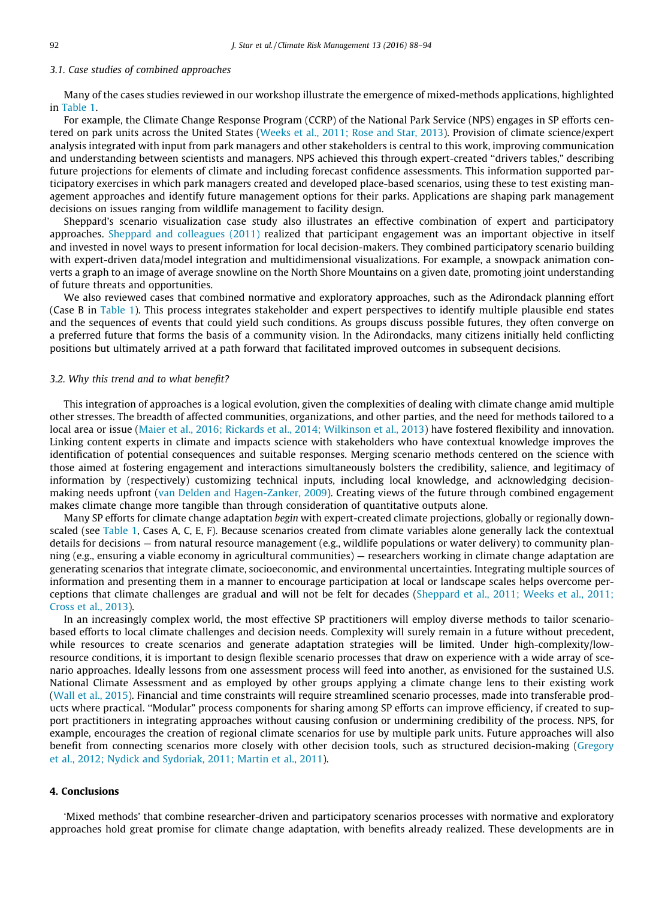# 3.1. Case studies of combined approaches

Many of the cases studies reviewed in our workshop illustrate the emergence of mixed-methods applications, highlighted in [Table 1.](#page-1-0)

For example, the Climate Change Response Program (CCRP) of the National Park Service (NPS) engages in SP efforts centered on park units across the United States [\(Weeks et al., 2011; Rose and Star, 2013\)](#page-6-0). Provision of climate science/expert analysis integrated with input from park managers and other stakeholders is central to this work, improving communication and understanding between scientists and managers. NPS achieved this through expert-created ''drivers tables," describing future projections for elements of climate and including forecast confidence assessments. This information supported participatory exercises in which park managers created and developed place-based scenarios, using these to test existing management approaches and identify future management options for their parks. Applications are shaping park management decisions on issues ranging from wildlife management to facility design.

Sheppard's scenario visualization case study also illustrates an effective combination of expert and participatory approaches. [Sheppard and colleagues \(2011\)](#page-6-0) realized that participant engagement was an important objective in itself and invested in novel ways to present information for local decision-makers. They combined participatory scenario building with expert-driven data/model integration and multidimensional visualizations. For example, a snowpack animation converts a graph to an image of average snowline on the North Shore Mountains on a given date, promoting joint understanding of future threats and opportunities.

We also reviewed cases that combined normative and exploratory approaches, such as the Adirondack planning effort (Case B in [Table 1](#page-1-0)). This process integrates stakeholder and expert perspectives to identify multiple plausible end states and the sequences of events that could yield such conditions. As groups discuss possible futures, they often converge on a preferred future that forms the basis of a community vision. In the Adirondacks, many citizens initially held conflicting positions but ultimately arrived at a path forward that facilitated improved outcomes in subsequent decisions.

# 3.2. Why this trend and to what benefit?

This integration of approaches is a logical evolution, given the complexities of dealing with climate change amid multiple other stresses. The breadth of affected communities, organizations, and other parties, and the need for methods tailored to a local area or issue ([Maier et al., 2016; Rickards et al., 2014; Wilkinson et al., 2013\)](#page-5-0) have fostered flexibility and innovation. Linking content experts in climate and impacts science with stakeholders who have contextual knowledge improves the identification of potential consequences and suitable responses. Merging scenario methods centered on the science with those aimed at fostering engagement and interactions simultaneously bolsters the credibility, salience, and legitimacy of information by (respectively) customizing technical inputs, including local knowledge, and acknowledging decisionmaking needs upfront [\(van Delden and Hagen-Zanker, 2009](#page-6-0)). Creating views of the future through combined engagement makes climate change more tangible than through consideration of quantitative outputs alone.

Many SP efforts for climate change adaptation begin with expert-created climate projections, globally or regionally downscaled (see [Table 1](#page-1-0), Cases A, C, E, F). Because scenarios created from climate variables alone generally lack the contextual details for decisions — from natural resource management (e.g., wildlife populations or water delivery) to community planning (e.g., ensuring a viable economy in agricultural communities) — researchers working in climate change adaptation are generating scenarios that integrate climate, socioeconomic, and environmental uncertainties. Integrating multiple sources of information and presenting them in a manner to encourage participation at local or landscape scales helps overcome perceptions that climate challenges are gradual and will not be felt for decades [\(Sheppard et al., 2011; Weeks et al., 2011;](#page-6-0) [Cross et al., 2013](#page-6-0)).

In an increasingly complex world, the most effective SP practitioners will employ diverse methods to tailor scenariobased efforts to local climate challenges and decision needs. Complexity will surely remain in a future without precedent, while resources to create scenarios and generate adaptation strategies will be limited. Under high-complexity/lowresource conditions, it is important to design flexible scenario processes that draw on experience with a wide array of scenario approaches. Ideally lessons from one assessment process will feed into another, as envisioned for the sustained U.S. National Climate Assessment and as employed by other groups applying a climate change lens to their existing work [\(Wall et al., 2015\)](#page-6-0). Financial and time constraints will require streamlined scenario processes, made into transferable products where practical. ''Modular" process components for sharing among SP efforts can improve efficiency, if created to support practitioners in integrating approaches without causing confusion or undermining credibility of the process. NPS, for example, encourages the creation of regional climate scenarios for use by multiple park units. Future approaches will also benefit from connecting scenarios more closely with other decision tools, such as structured decision-making [\(Gregory](#page-5-0) [et al., 2012; Nydick and Sydoriak, 2011; Martin et al., 2011\)](#page-5-0).

# 4. Conclusions

'Mixed methods' that combine researcher-driven and participatory scenarios processes with normative and exploratory approaches hold great promise for climate change adaptation, with benefits already realized. These developments are in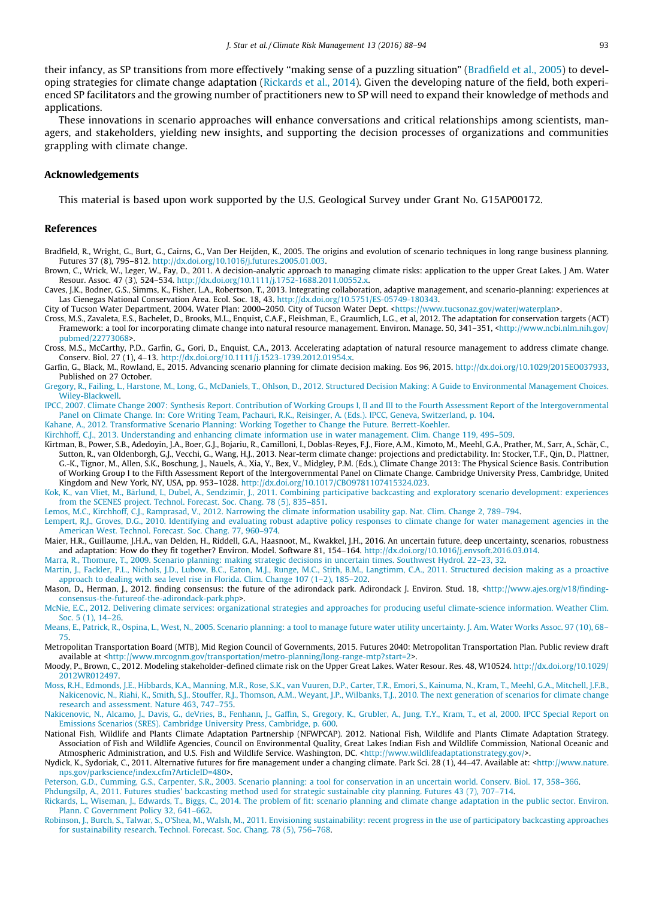<span id="page-5-0"></span>their infancy, as SP transitions from more effectively "making sense of a puzzling situation" (Bradfield et al., 2005) to developing strategies for climate change adaptation (Rickards et al., 2014). Given the developing nature of the field, both experienced SP facilitators and the growing number of practitioners new to SP will need to expand their knowledge of methods and applications.

These innovations in scenario approaches will enhance conversations and critical relationships among scientists, managers, and stakeholders, yielding new insights, and supporting the decision processes of organizations and communities grappling with climate change.

#### Acknowledgements

This material is based upon work supported by the U.S. Geological Survey under Grant No. G15AP00172.

# References

- Bradfield, R., Wright, G., Burt, G., Cairns, G., Van Der Heijden, K., 2005. The origins and evolution of scenario techniques in long range business planning. Futures 37 (8), 795–812. [http://dx.doi.org/10.1016/j.futures.2005.01.003.](http://dx.doi.org/10.1016/j.futures.2005.01.003)
- Brown, C., Wrick, W., Leger, W., Fay, D., 2011. A decision-analytic approach to managing climate risks: application to the upper Great Lakes. J Am. Water Resour. Assoc. 47 (3), 524–534. <http://dx.doi.org/10.1111/j.1752-1688.2011.00552.x>.
- Caves, J.K., Bodner, G.S., Simms, K., Fisher, L.A., Robertson, T., 2013. Integrating collaboration, adaptive management, and scenario-planning: experiences at Las Cienegas National Conservation Area. Ecol. Soc. 18, 43. <http://dx.doi.org/10.5751/ES-05749-180343>.

City of Tucson Water Department, 2004. Water Plan: 2000-2050. City of Tucson Water Dept. [<https://www.tucsonaz.gov/water/waterplan](https://www.tucsonaz.gov/water/waterplan)>.

- Cross, M.S., Zavaleta, E.S., Bachelet, D., Brooks, M.L., Enquist, C.A.F., Fleishman, E., Graumlich, L.G., et al, 2012. The adaptation for conservation targets (ACT) Framework: a tool for incorporating climate change into natural resource management. Environ. Manage. 50, 341-351, [<http://www.ncbi.nlm.nih.gov/](http://www.ncbi.nlm.nih.gov/pubmed/22773068) [pubmed/22773068>](http://www.ncbi.nlm.nih.gov/pubmed/22773068).
- Cross, M.S., McCarthy, P.D., Garfin, G., Gori, D., Enquist, C.A., 2013. Accelerating adaptation of natural resource management to address climate change. Conserv. Biol. 27 (1), 4–13. <http://dx.doi.org/10.1111/j.1523-1739.2012.01954.x>.
- Garfin, G., Black, M., Rowland, E., 2015. Advancing scenario planning for climate decision making. Eos 96, 2015. [http://dx.doi.org/10.1029/2015EO037933,](http://dx.doi.org/10.1029/2015EO037933) Published on 27 October.
- [Gregory, R., Failing, L., Harstone, M., Long, G., McDaniels, T., Ohlson, D., 2012. Structured Decision Making: A Guide to Environmental Management Choices.](http://refhub.elsevier.com/S2212-0963(16)30026-2/h0040) [Wiley-Blackwell](http://refhub.elsevier.com/S2212-0963(16)30026-2/h0040).
- [IPCC, 2007. Climate Change 2007: Synthesis Report. Contribution of Working Groups I, II and III to the Fourth Assessment Report of the Intergovernmental](http://refhub.elsevier.com/S2212-0963(16)30026-2/h0045) [Panel on Climate Change. In: Core Writing Team, Pachauri, R.K., Reisinger, A. \(Eds.\). IPCC, Geneva, Switzerland, p. 104](http://refhub.elsevier.com/S2212-0963(16)30026-2/h0045).
- [Kahane, A., 2012. Transformative Scenario Planning: Working Together to Change the Future. Berrett-Koehler](http://refhub.elsevier.com/S2212-0963(16)30026-2/h0050).
- [Kirchhoff, C.J., 2013. Understanding and enhancing climate information use in water management. Clim. Change 119, 495–509.](http://refhub.elsevier.com/S2212-0963(16)30026-2/h0055)
- Kirtman, B., Power, S.B., Adedoyin, J.A., Boer, G.J., Bojariu, R., Camilloni, I., Doblas-Reyes, F.J., Fiore, A.M., Kimoto, M., Meehl, G.A., Prather, M., Sarr, A., Schär, C., Sutton, R., van Oldenborgh, G.J., Vecchi, G., Wang, H.J., 2013. Near-term climate change: projections and predictability. In: Stocker, T.F., Qin, D., Plattner, G.-K., Tignor, M., Allen, S.K., Boschung, J., Nauels, A., Xia, Y., Bex, V., Midgley, P.M. (Eds.), Climate Change 2013: The Physical Science Basis. Contribution of Working Group I to the Fifth Assessment Report of the Intergovernmental Panel on Climate Change. Cambridge University Press, Cambridge, United Kingdom and New York, NY, USA, pp. 953–1028. <http://dx.doi.org/10.1017/CBO9781107415324.023>.
- [Kok, K., van Vliet, M., Bärlund, I., Dubel, A., Sendzimir, J., 2011. Combining participative backcasting and exploratory scenario development: experiences](http://refhub.elsevier.com/S2212-0963(16)30026-2/h0065) [from the SCENES project. Technol. Forecast. Soc. Chang. 78 \(5\), 835–851.](http://refhub.elsevier.com/S2212-0963(16)30026-2/h0065)
- [Lemos, M.C., Kirchhoff, C.J., Ramprasad, V., 2012. Narrowing the climate information usability gap. Nat. Clim. Change 2, 789–794](http://refhub.elsevier.com/S2212-0963(16)30026-2/h0070).
- [Lempert, R.J., Groves, D.G., 2010. Identifying and evaluating robust adaptive policy responses to climate change for water management agencies in the](http://refhub.elsevier.com/S2212-0963(16)30026-2/h0075) [American West. Technol. Forecast. Soc. Chang. 77, 960–974.](http://refhub.elsevier.com/S2212-0963(16)30026-2/h0075)
- Maier, H.R., Guillaume, J.H.A., van Delden, H., Riddell, G.A., Haasnoot, M., Kwakkel, J.H., 2016. An uncertain future, deep uncertainty, scenarios, robustness and adaptation: How do they fit together? Environ. Model. Software 81, 154–164. <http://dx.doi.org/10.1016/j.envsoft.2016.03.014>.
- [Marra, R., Thomure, T., 2009. Scenario planning: making strategic decisions in uncertain times. Southwest Hydrol. 22–23, 32.](http://refhub.elsevier.com/S2212-0963(16)30026-2/h0085)
- [Martin, J., Fackler, P.L., Nichols, J.D., Lubow, B.C., Eaton, M.J., Runge, M.C., Stith, B.M., Langtimm, C.A., 2011. Structured decision making as a proactive](http://refhub.elsevier.com/S2212-0963(16)30026-2/h0090) [approach to dealing with sea level rise in Florida. Clim. Change 107 \(1–2\), 185–202.](http://refhub.elsevier.com/S2212-0963(16)30026-2/h0090)
- Mason, D., Herman, J., 2012. finding consensus: the future of the adirondack park. Adirondack J. Environ. Stud. 18, [<http://www.ajes.org/v18/finding](http://www.ajes.org/v18/finding-consensus-the-futureof-the-adirondack-park.php)[consensus-the-futureof-the-adirondack-park.php>](http://www.ajes.org/v18/finding-consensus-the-futureof-the-adirondack-park.php).
- [McNie, E.C., 2012. Delivering climate services: organizational strategies and approaches for producing useful climate-science information. Weather Clim.](http://refhub.elsevier.com/S2212-0963(16)30026-2/h0100) Soc. 5 (1), 14-26.
- [Means, E., Patrick, R., Ospina, L., West, N., 2005. Scenario planning: a tool to manage future water utility uncertainty. J. Am. Water Works Assoc. 97 \(10\), 68–](http://refhub.elsevier.com/S2212-0963(16)30026-2/h0105) [75](http://refhub.elsevier.com/S2212-0963(16)30026-2/h0105).
- Metropolitan Transportation Board (MTB), Mid Region Council of Governments, 2015. Futures 2040: Metropolitan Transportation Plan. Public review draft available at [<http://www.mrcognm.gov/transportation/metro-planning/long-range-mtp?start=2>](http://www.mrcognm.gov/transportation/metro-planning/long-range-mtp?start=2).
- Moody, P., Brown, C., 2012. Modeling stakeholder-defined climate risk on the Upper Great Lakes. Water Resour. Res. 48, W10524. [http://dx.doi.org/10.1029/](http://dx.doi.org/10.1029/2012WR012497) [2012WR012497.](http://dx.doi.org/10.1029/2012WR012497)
- [Moss, R.H., Edmonds, J.E., Hibbards, K.A., Manning, M.R., Rose, S.K., van Vuuren, D.P., Carter, T.R., Emori, S., Kainuma, N., Kram, T., Meehl, G.A., Mitchell, J.F.B.,](http://refhub.elsevier.com/S2212-0963(16)30026-2/h0125) [Nakicenovic, N., Riahi, K., Smith, S.J., Stouffer, R.J., Thomson, A.M., Weyant, J.P., Wilbanks, T.J., 2010. The next generation of scenarios for climate change](http://refhub.elsevier.com/S2212-0963(16)30026-2/h0125) [research and assessment. Nature 463, 747–755.](http://refhub.elsevier.com/S2212-0963(16)30026-2/h0125)
- [Nakicenovic, N., Alcamo, J., Davis, G., deVries, B., Fenhann, J., Gaffin, S., Gregory, K., Grubler, A., Jung, T.Y., Kram, T., et al, 2000. IPCC Special Report on](http://refhub.elsevier.com/S2212-0963(16)30026-2/h0130) [Emissions Scenarios \(SRES\). Cambridge University Press, Cambridge, p. 600.](http://refhub.elsevier.com/S2212-0963(16)30026-2/h0130)
- National Fish, Wildlife and Plants Climate Adaptation Partnership (NFWPCAP). 2012. National Fish, Wildlife and Plants Climate Adaptation Strategy. Association of Fish and Wildlife Agencies, Council on Environmental Quality, Great Lakes Indian Fish and Wildlife Commission, National Oceanic and Atmospheric Administration, and U.S. Fish and Wildlife Service. Washington, DC. <[http://www.wildlifeadaptationstrategy.gov/>](http://www.wildlifeadaptationstrategy.gov/).
- Nydick, K., Sydoriak, C., 2011. Alternative futures for fire management under a changing climate. Park Sci. 28 (1), 44-47. Available at: <[http://www.nature.](http://www.nature.nps.gov/parkscience/index.cfm?ArticleID=480) [nps.gov/parkscience/index.cfm?ArticleID=480](http://www.nature.nps.gov/parkscience/index.cfm?ArticleID=480)>.
- [Peterson, G.D., Cumming, G.S., Carpenter, S.R., 2003. Scenario planning: a tool for conservation in an uncertain world. Conserv. Biol. 17, 358–366](http://refhub.elsevier.com/S2212-0963(16)30026-2/h0145).

[Phdungsilp, A., 2011. Futures studies' backcasting method used for strategic sustainable city planning. Futures 43 \(7\), 707–714](http://refhub.elsevier.com/S2212-0963(16)30026-2/h0150).

- [Rickards, L., Wiseman, J., Edwards, T., Biggs, C., 2014. The problem of fit: scenario planning and climate change adaptation in the public sector. Environ.](http://refhub.elsevier.com/S2212-0963(16)30026-2/h0155) [Plann. C Government Policy 32, 641–662.](http://refhub.elsevier.com/S2212-0963(16)30026-2/h0155)
- [Robinson, J., Burch, S., Talwar, S., O'Shea, M., Walsh, M., 2011. Envisioning sustainability: recent progress in the use of participatory backcasting approaches](http://refhub.elsevier.com/S2212-0963(16)30026-2/h0160) [for sustainability research. Technol. Forecast. Soc. Chang. 78 \(5\), 756–768](http://refhub.elsevier.com/S2212-0963(16)30026-2/h0160).